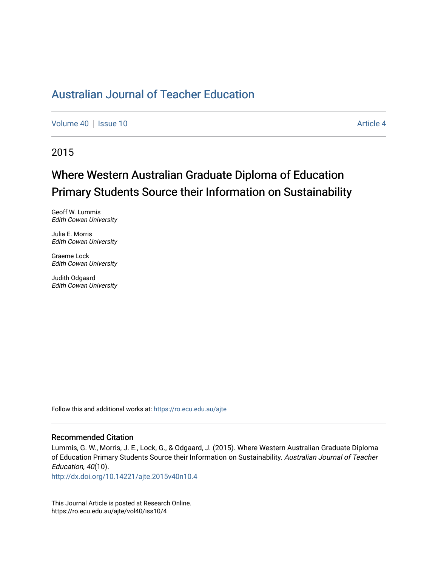[Volume 40](https://ro.ecu.edu.au/ajte/vol40) | [Issue 10](https://ro.ecu.edu.au/ajte/vol40/iss10) Article 4

2015

# Where Western Australian Graduate Diploma of Education Primary Students Source their Information on Sustainability

Geoff W. Lummis Edith Cowan University

Julia E. Morris Edith Cowan University

Graeme Lock Edith Cowan University

Judith Odgaard Edith Cowan University

Follow this and additional works at: [https://ro.ecu.edu.au/ajte](https://ro.ecu.edu.au/ajte?utm_source=ro.ecu.edu.au%2Fajte%2Fvol40%2Fiss10%2F4&utm_medium=PDF&utm_campaign=PDFCoverPages) 

#### Recommended Citation

Lummis, G. W., Morris, J. E., Lock, G., & Odgaard, J. (2015). Where Western Australian Graduate Diploma of Education Primary Students Source their Information on Sustainability. Australian Journal of Teacher Education, 40(10).

<http://dx.doi.org/10.14221/ajte.2015v40n10.4>

This Journal Article is posted at Research Online. https://ro.ecu.edu.au/ajte/vol40/iss10/4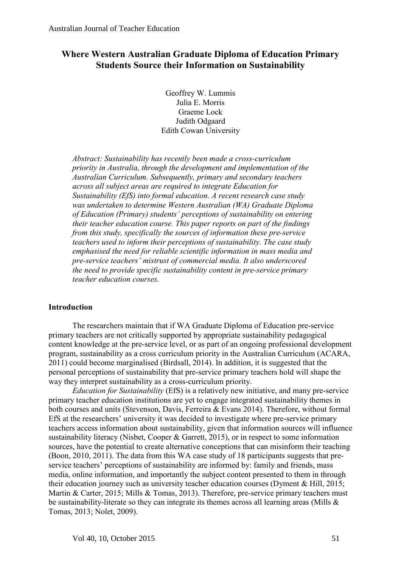# **Where Western Australian Graduate Diploma of Education Primary Students Source their Information on Sustainability**

Geoffrey W. Lummis Julia E. Morris Graeme Lock Judith Odgaard Edith Cowan University

*Abstract: Sustainability has recently been made a cross-curriculum priority in Australia, through the development and implementation of the Australian Curriculum. Subsequently, primary and secondary teachers across all subject areas are required to integrate Education for Sustainability (EfS) into formal education. A recent research case study was undertaken to determine Western Australian (WA) Graduate Diploma of Education (Primary) students' perceptions of sustainability on entering their teacher education course. This paper reports on part of the findings from this study, specifically the sources of information these pre-service teachers used to inform their perceptions of sustainability. The case study emphasised the need for reliable scientific information in mass media and pre-service teachers' mistrust of commercial media. It also underscored the need to provide specific sustainability content in pre-service primary teacher education courses.*

## **Introduction**

The researchers maintain that if WA Graduate Diploma of Education pre-service primary teachers are not critically supported by appropriate sustainability pedagogical content knowledge at the pre-service level, or as part of an ongoing professional development program, sustainability as a cross curriculum priority in the Australian Curriculum (ACARA, 2011) could become marginalised (Birdsall, 2014). In addition, it is suggested that the personal perceptions of sustainability that pre-service primary teachers hold will shape the way they interpret sustainability as a cross-curriculum priority.

*Education for Sustainability* (EfS) is a relatively new initiative, and many pre-service primary teacher education institutions are yet to engage integrated sustainability themes in both courses and units (Stevenson, Davis, Ferreira & Evans 2014). Therefore, without formal EfS at the researchers' university it was decided to investigate where pre-service primary teachers access information about sustainability, given that information sources will influence sustainability literacy (Nisbet, Cooper & Garrett, 2015), or in respect to some information sources, have the potential to create alternative conceptions that can misinform their teaching (Boon, 2010, 2011). The data from this WA case study of 18 participants suggests that preservice teachers' perceptions of sustainability are informed by: family and friends, mass media, online information, and importantly the subject content presented to them in through their education journey such as university teacher education courses (Dyment & Hill, 2015; Martin & Carter, 2015; Mills & Tomas, 2013). Therefore, pre-service primary teachers must be sustainability-literate so they can integrate its themes across all learning areas (Mills & Tomas, 2013; Nolet, 2009).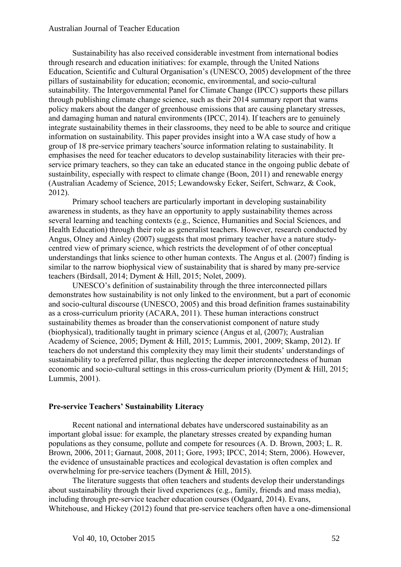Sustainability has also received considerable investment from international bodies through research and education initiatives: for example, through the United Nations Education, Scientific and Cultural Organisation's (UNESCO, 2005) development of the three pillars of sustainability for education; economic, environmental, and socio-cultural sutainability. The Intergovernmental Panel for Climate Change (IPCC) supports these pillars through publishing climate change science, such as their 2014 summary report that warns policy makers about the danger of greenhouse emissions that are causing planetary stresses, and damaging human and natural environments (IPCC, 2014). If teachers are to genuinely integrate sustainability themes in their classrooms, they need to be able to source and critique information on sustainability. This paper provides insight into a WA case study of how a group of 18 pre-service primary teachers'source information relating to sustainability. It emphasises the need for teacher educators to develop sustainability literacies with their preservice primary teachers, so they can take an educated stance in the ongoing public debate of sustainbility, especially with respect to climate change (Boon, 2011) and renewable energy (Australian Academy of Science, 2015; Lewandowsky Ecker, Seifert, Schwarz, & Cook, 2012).

Primary school teachers are particularly important in developing sustainability awareness in students, as they have an opportunity to apply sustainability themes across several learning and teaching contexts (e.g., Science, Humanities and Social Sciences, and Health Education) through their role as generalist teachers. However, research conducted by Angus, Olney and Ainley (2007) suggests that most primary teacher have a nature studycentred view of primary science, which restricts the development of of other conceptual understandings that links science to other human contexts. The Angus et al. (2007) finding is similar to the narrow biophysical view of sustainability that is shared by many pre-service teachers (Birdsall, 2014; Dyment & Hill, 2015; Nolet, 2009).

UNESCO's definition of sustainability through the three interconnected pillars demonstrates how sustainability is not only linked to the environment, but a part of economic and socio-cultural discourse (UNESCO, 2005) and this broad definition frames sustainability as a cross-curriculum priority (ACARA, 2011). These human interactions construct sustainability themes as broader than the conservationist component of nature study (biophysical), traditionally taught in primary science (Angus et al, (2007); Australian Academy of Science, 2005; Dyment & Hill, 2015; Lummis, 2001, 2009; Skamp, 2012). If teachers do not understand this complexity they may limit their students' understandings of sustainability to a preferred pillar, thus neglecting the deeper interconnectedness of human economic and socio-cultural settings in this cross-curriculum priority (Dyment & Hill, 2015; Lummis, 2001).

## **Pre-service Teachers' Sustainability Literacy**

Recent national and international debates have underscored sustainability as an important global issue: for example, the planetary stresses created by expanding human populations as they consume, pollute and compete for resources (A. D. Brown, 2003; L. R. Brown, 2006, 2011; Garnaut, 2008, 2011; Gore, 1993; IPCC, 2014; Stern, 2006). However, the evidence of unsustainable practices and ecological devastation is often complex and overwhelming for pre-service teachers (Dyment & Hill, 2015).

The literature suggests that often teachers and students develop their understandings about sustainability through their lived experiences (e.g., family, friends and mass media), including through pre-service teacher education courses (Odgaard, 2014). Evans, Whitehouse, and Hickey (2012) found that pre-service teachers often have a one-dimensional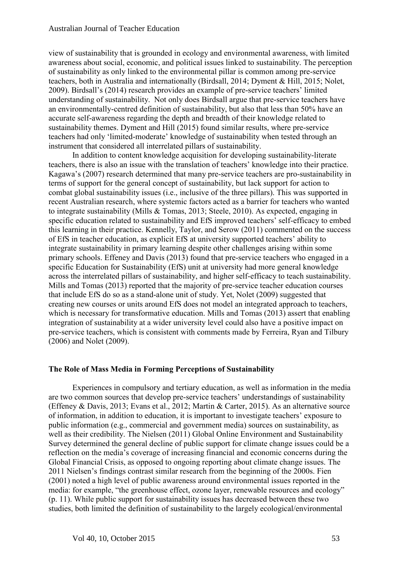view of sustainability that is grounded in ecology and environmental awareness, with limited awareness about social, economic, and political issues linked to sustainability. The perception of sustainability as only linked to the environmental pillar is common among pre-service teachers, both in Australia and internationally (Birdsall, 2014; Dyment & Hill, 2015; Nolet, 2009). Birdsall's (2014) research provides an example of pre-service teachers' limited understanding of sustainability. Not only does Birdsall argue that pre-service teachers have an environmentally-centred definition of sustainability, but also that less than 50% have an accurate self-awareness regarding the depth and breadth of their knowledge related to sustainability themes. Dyment and Hill (2015) found similar results, where pre-service teachers had only 'limited-moderate' knowledge of sustainability when tested through an instrument that considered all interrelated pillars of sustainability.

In addition to content knowledge acquisition for developing sustainability-literate teachers, there is also an issue with the translation of teachers' knowledge into their practice. Kagawa's (2007) research determined that many pre-service teachers are pro-sustainability in terms of support for the general concept of sustainability, but lack support for action to combat global sustainability issues (i.e., inclusive of the three pillars). This was supported in recent Australian research, where systemic factors acted as a barrier for teachers who wanted to integrate sustainability (Mills & Tomas, 2013; Steele, 2010). As expected, engaging in specific education related to sustainability and EfS improved teachers' self-efficacy to embed this learning in their practice. Kennelly, Taylor, and Serow (2011) commented on the success of EfS in teacher education, as explicit EfS at university supported teachers' ability to integrate sustainability in primary learning despite other challenges arising within some primary schools. Effeney and Davis (2013) found that pre-service teachers who engaged in a specific Education for Sustainability (EfS) unit at university had more general knowledge across the interrelated pillars of sustainability, and higher self-efficacy to teach sustainability. Mills and Tomas (2013) reported that the majority of pre-service teacher education courses that include EfS do so as a stand-alone unit of study. Yet, Nolet (2009) suggested that creating new courses or units around EfS does not model an integrated approach to teachers, which is necessary for transformative education. Mills and Tomas (2013) assert that enabling integration of sustainability at a wider university level could also have a positive impact on pre-service teachers, which is consistent with comments made by Ferreira, Ryan and Tilbury (2006) and Nolet (2009).

## **The Role of Mass Media in Forming Perceptions of Sustainability**

Experiences in compulsory and tertiary education, as well as information in the media are two common sources that develop pre-service teachers' understandings of sustainability (Effeney & Davis, 2013; Evans et al., 2012; Martin & Carter, 2015). As an alternative source of information, in addition to education, it is important to investigate teachers' exposure to public information (e.g., commercial and government media) sources on sustainability, as well as their credibility. The Nielsen (2011) Global Online Environment and Sustainability Survey determined the general decline of public support for climate change issues could be a reflection on the media's coverage of increasing financial and economic concerns during the Global Financial Crisis, as opposed to ongoing reporting about climate change issues. The 2011 Nielsen's findings contrast similar research from the beginning of the 2000s. Fien (2001) noted a high level of public awareness around environmental issues reported in the media: for example, "the greenhouse effect, ozone layer, renewable resources and ecology" (p. 11). While public support for sustainability issues has decreased between these two studies, both limited the definition of sustainability to the largely ecological/environmental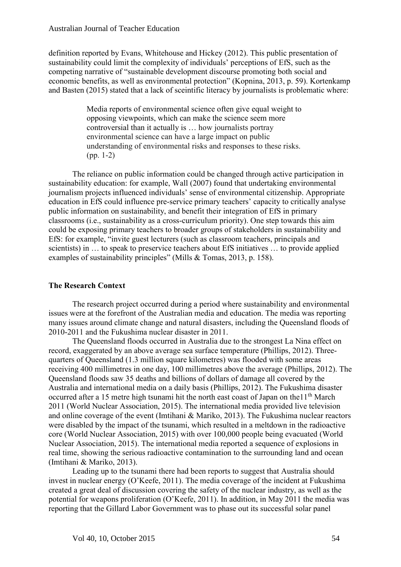definition reported by Evans, Whitehouse and Hickey (2012). This public presentation of sustainability could limit the complexity of individuals' perceptions of EfS, such as the competing narrative of "sustainable development discourse promoting both social and economic benefits, as well as environmental protection" (Kopnina, 2013, p. 59). Kortenkamp and Basten (2015) stated that a lack of sceintific literacy by journalists is problematic where:

> Media reports of environmental science often give equal weight to opposing viewpoints, which can make the science seem more controversial than it actually is … how journalists portray environmental science can have a large impact on public understanding of environmental risks and responses to these risks. (pp. 1-2)

The reliance on public information could be changed through active participation in sustainability education: for example, Wall (2007) found that undertaking environmental journalism projects influenced individuals' sense of environmental citizenship. Appropriate education in EfS could influence pre-service primary teachers' capacity to critically analyse public information on sustainability, and benefit their integration of EfS in primary classrooms (i.e., sustainability as a cross-curriculum priority). One step towards this aim could be exposing primary teachers to broader groups of stakeholders in sustainability and EfS: for example, "invite guest lecturers (such as classroom teachers, principals and scientists) in … to speak to preservice teachers about EfS initiatives … to provide applied examples of sustainability principles" (Mills & Tomas, 2013, p. 158).

# **The Research Context**

The research project occurred during a period where sustainability and environmental issues were at the forefront of the Australian media and education. The media was reporting many issues around climate change and natural disasters, including the Queensland floods of 2010-2011 and the Fukushima nuclear disaster in 2011.

The Queensland floods occurred in Australia due to the strongest La Nina effect on record, exaggerated by an above average sea surface temperature (Phillips, 2012). Threequarters of Queensland (1.3 million square kilometres) was flooded with some areas receiving 400 millimetres in one day, 100 millimetres above the average (Phillips, 2012). The Queensland floods saw 35 deaths and billions of dollars of damage all covered by the Australia and international media on a daily basis (Phillips, 2012). The Fukushima disaster occurred after a 15 metre high tsunami hit the north east coast of Japan on the 11<sup>th</sup> March 2011 (World Nuclear Association, 2015). The international media provided live television and online coverage of the event (Imtihani & Mariko, 2013). The Fukushima nuclear reactors were disabled by the impact of the tsunami, which resulted in a meltdown in the radioactive core (World Nuclear Association, 2015) with over 100,000 people being evacuated (World Nuclear Association, 2015). The international media reported a sequence of explosions in real time, showing the serious radioactive contamination to the surrounding land and ocean (Imtihani & Mariko, 2013).

Leading up to the tsunami there had been reports to suggest that Australia should invest in nuclear energy (O'Keefe, 2011). The media coverage of the incident at Fukushima created a great deal of discussion covering the safety of the nuclear industry, as well as the potential for weapons proliferation (O'Keefe, 2011). In addition, in May 2011 the media was reporting that the Gillard Labor Government was to phase out its successful solar panel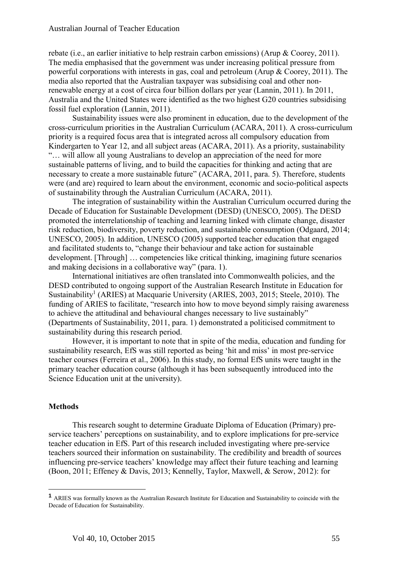rebate (i.e., an earlier initiative to help restrain carbon emissions) (Arup & Coorey, 2011). The media emphasised that the government was under increasing political pressure from powerful corporations with interests in gas, coal and petroleum (Arup & Coorey, 2011). The media also reported that the Australian taxpayer was subsidising coal and other nonrenewable energy at a cost of circa four billion dollars per year (Lannin, 2011). In 2011, Australia and the United States were identified as the two highest G20 countries subsidising fossil fuel exploration (Lannin, 2011).

Sustainability issues were also prominent in education, due to the development of the cross-curriculum priorities in the Australian Curriculum (ACARA, 2011). A cross-curriculum priority is a required focus area that is integrated across all compulsory education from Kindergarten to Year 12, and all subject areas (ACARA, 2011). As a priority, sustainability "… will allow all young Australians to develop an appreciation of the need for more sustainable patterns of living, and to build the capacities for thinking and acting that are necessary to create a more sustainable future" (ACARA, 2011, para. 5). Therefore, students were (and are) required to learn about the environment, economic and socio-political aspects of sustainability through the Australian Curriculum (ACARA, 2011).

The integration of sustainability within the Australian Curriculum occurred during the Decade of Education for Sustainable Development (DESD) (UNESCO, 2005). The DESD promoted the interrelationship of teaching and learning linked with climate change, disaster risk reduction, biodiversity, poverty reduction, and sustainable consumption (Odgaard, 2014; UNESCO, 2005). In addition, UNESCO (2005) supported teacher education that engaged and facilitated students to, "change their behaviour and take action for sustainable development. [Through] … competencies like critical thinking, imagining future scenarios and making decisions in a collaborative way" (para. 1).

International initiatives are often translated into Commonwealth policies, and the DESD contributed to ongoing support of the Australian Research Institute in Education for Sustainability<sup>1</sup> (ARIES) at Macquarie University (ARIES, 2003, 2015; Steele, 2010). The funding of ARIES to facilitate, "research into how to move beyond simply raising awareness to achieve the attitudinal and behavioural changes necessary to live sustainably" (Departments of Sustainability, 2011, para. 1) demonstrated a politicised commitment to sustainability during this research period.

However, it is important to note that in spite of the media, education and funding for sustainability research, EfS was still reported as being 'hit and miss' in most pre-service teacher courses (Ferreira et al., 2006). In this study, no formal EfS units were taught in the primary teacher education course (although it has been subsequently introduced into the Science Education unit at the university).

## **Methods**

 $\overline{a}$ 

This research sought to determine Graduate Diploma of Education (Primary) preservice teachers' perceptions on sustainability, and to explore implications for pre-service teacher education in EfS. Part of this research included investigating where pre-service teachers sourced their information on sustainability. The credibility and breadth of sources influencing pre-service teachers' knowledge may affect their future teaching and learning (Boon, 2011; Effeney & Davis, 2013; Kennelly, Taylor, Maxwell, & Serow, 2012): for

**<sup>1</sup>** ARIES was formally known as the Australian Research Institute for Education and Sustainability to coincide with the Decade of Education for Sustainability.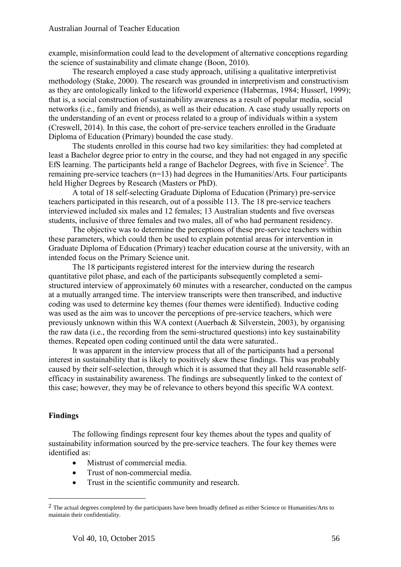example, misinformation could lead to the development of alternative conceptions regarding the science of sustainability and climate change (Boon, 2010).

The research employed a case study approach, utilising a qualitative interpretivist methodology (Stake, 2000). The research was grounded in interpretivism and constructivism as they are ontologically linked to the lifeworld experience (Habermas, 1984; Husserl, 1999); that is, a social construction of sustainability awareness as a result of popular media, social networks (i.e., family and friends), as well as their education. A case study usually reports on the understanding of an event or process related to a group of individuals within a system (Creswell, 2014). In this case, the cohort of pre-service teachers enrolled in the Graduate Diploma of Education (Primary) bounded the case study.

The students enrolled in this course had two key similarities: they had completed at least a Bachelor degree prior to entry in the course, and they had not engaged in any specific EfS learning. The participants held a range of Bachelor Degrees, with five in Science<sup>2</sup>. The remaining pre-service teachers (n=13) had degrees in the Humanities/Arts. Four participants held Higher Degrees by Research (Masters or PhD).

A total of 18 self-selecting Graduate Diploma of Education (Primary) pre-service teachers participated in this research, out of a possible 113. The 18 pre-service teachers interviewed included six males and 12 females; 13 Australian students and five overseas students, inclusive of three females and two males, all of who had permanent residency.

The objective was to determine the perceptions of these pre-service teachers within these parameters, which could then be used to explain potential areas for intervention in Graduate Diploma of Education (Primary) teacher education course at the university, with an intended focus on the Primary Science unit.

The 18 participants registered interest for the interview during the research quantitative pilot phase, and each of the participants subsequently completed a semistructured interview of approximately 60 minutes with a researcher, conducted on the campus at a mutually arranged time. The interview transcripts were then transcribed, and inductive coding was used to determine key themes (four themes were identified). Inductive coding was used as the aim was to uncover the perceptions of pre-service teachers, which were previously unknown within this WA context (Auerbach & Silverstein, 2003), by organising the raw data (i.e., the recording from the semi-structured questions) into key sustainability themes. Repeated open coding continued until the data were saturated..

It was apparent in the interview process that all of the participants had a personal interest in sustainability that is likely to positively skew these findings. This was probably caused by their self-selection, through which it is assumed that they all held reasonable selfefficacy in sustainability awareness. The findings are subsequently linked to the context of this case; however, they may be of relevance to others beyond this specific WA context.

# **Findings**

 $\overline{a}$ 

The following findings represent four key themes about the types and quality of sustainability information sourced by the pre-service teachers. The four key themes were identified as:

- Mistrust of commercial media.
- Trust of non-commercial media.
- Trust in the scientific community and research.

<sup>&</sup>lt;sup>2</sup> The actual degrees completed by the participants have been broadly defined as either Science or Humanities/Arts to maintain their confidentiality.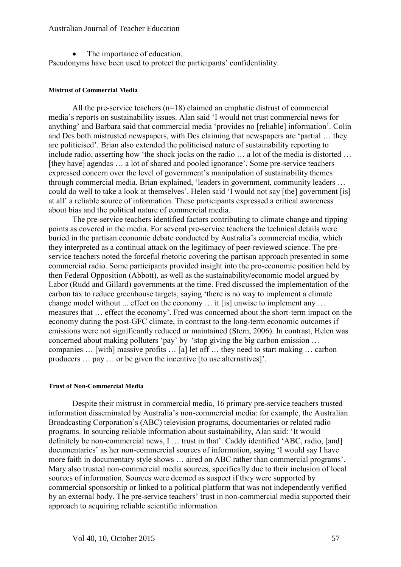• The importance of education.

Pseudonyms have been used to protect the participants' confidentiality.

#### **Mistrust of Commercial Media**

All the pre-service teachers (n=18) claimed an emphatic distrust of commercial media's reports on sustainability issues. Alan said 'I would not trust commercial news for anything' and Barbara said that commercial media 'provides no [reliable] information'. Colin and Des both mistrusted newspapers, with Des claiming that newspapers are 'partial … they are politicised'. Brian also extended the politicised nature of sustainability reporting to include radio, asserting how 'the shock jocks on the radio … a lot of the media is distorted … [they have] agendas ... a lot of shared and pooled ignorance'. Some pre-service teachers expressed concern over the level of government's manipulation of sustainability themes through commercial media. Brian explained, 'leaders in government, community leaders … could do well to take a look at themselves'. Helen said 'I would not say [the] government [is] at all' a reliable source of information. These participants expressed a critical awareness about bias and the political nature of commercial media.

The pre-service teachers identified factors contributing to climate change and tipping points as covered in the media. For several pre-service teachers the technical details were buried in the partisan economic debate conducted by Australia's commercial media, which they interpreted as a continual attack on the legitimacy of peer-reviewed science. The preservice teachers noted the forceful rhetoric covering the partisan approach presented in some commercial radio. Some participants provided insight into the pro-economic position held by then Federal Opposition (Abbott), as well as the sustainability/economic model argued by Labor (Rudd and Gillard) governments at the time. Fred discussed the implementation of the carbon tax to reduce greenhouse targets, saying 'there is no way to implement a climate change model without ... effect on the economy … it [is] unwise to implement any … measures that … effect the economy'. Fred was concerned about the short-term impact on the economy during the post-GFC climate, in contrast to the long-term economic outcomes if emissions were not significantly reduced or maintained (Stern, 2006). In contrast, Helen was concerned about making polluters 'pay' by 'stop giving the big carbon emission … companies … [with] massive profits … [a] let off … they need to start making … carbon producers … pay … or be given the incentive [to use alternatives]'.

## **Trust of Non-Commercial Media**

Despite their mistrust in commercial media, 16 primary pre-service teachers trusted information disseminated by Australia's non-commercial media: for example, the Australian Broadcasting Corporation's (ABC) television programs, documentaries or related radio programs. In sourcing reliable information about sustainability, Alan said: 'It would definitely be non-commercial news, I … trust in that'. Caddy identified 'ABC, radio, [and] documentaries' as her non-commercial sources of information, saying 'I would say I have more faith in documentary style shows … aired on ABC rather than commercial programs'. Mary also trusted non-commercial media sources, specifically due to their inclusion of local sources of information. Sources were deemed as suspect if they were supported by commercial sponsorship or linked to a political platform that was not independently verified by an external body. The pre-service teachers' trust in non-commercial media supported their approach to acquiring reliable scientific information.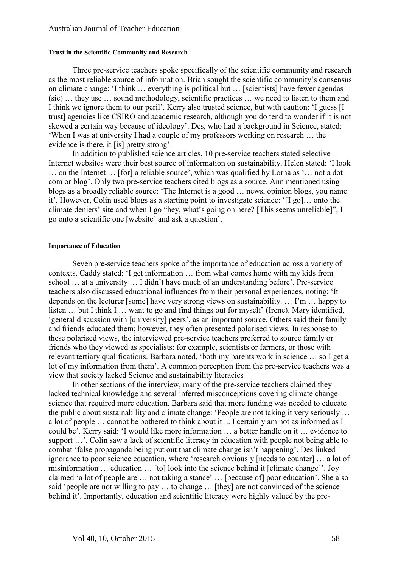#### **Trust in the Scientific Community and Research**

Three pre-service teachers spoke specifically of the scientific community and research as the most reliable source of information. Brian sought the scientific community's consensus on climate change: 'I think … everything is political but … [scientists] have fewer agendas (sic) … they use … sound methodology, scientific practices … we need to listen to them and I think we ignore them to our peril'. Kerry also trusted science, but with caution: 'I guess [I trust] agencies like CSIRO and academic research, although you do tend to wonder if it is not skewed a certain way because of ideology'. Des, who had a background in Science, stated: 'When I was at university I had a couple of my professors working on research … the evidence is there, it [is] pretty strong'.

In addition to published science articles, 10 pre-service teachers stated selective Internet websites were their best source of information on sustainability. Helen stated: 'I look … on the Internet … [for] a reliable source', which was qualified by Lorna as '… not a dot com or blog'. Only two pre-service teachers cited blogs as a source. Ann mentioned using blogs as a broadly reliable source: 'The Internet is a good … news, opinion blogs, you name it'. However, Colin used blogs as a starting point to investigate science: '[I go]… onto the climate deniers' site and when I go "hey, what's going on here? [This seems unreliable]", I go onto a scientific one [website] and ask a question'.

#### **Importance of Education**

Seven pre-service teachers spoke of the importance of education across a variety of contexts. Caddy stated: 'I get information … from what comes home with my kids from school … at a university … I didn't have much of an understanding before'. Pre-service teachers also discussed educational influences from their personal experiences, noting: 'It depends on the lecturer [some] have very strong views on sustainability. … I'm … happy to listen … but I think I … want to go and find things out for myself' (Irene). Mary identified, 'general discussion with [university] peers', as an important source. Others said their family and friends educated them; however, they often presented polarised views. In response to these polarised views, the interviewed pre-service teachers preferred to source family or friends who they viewed as specialists: for example, scientists or farmers, or those with relevant tertiary qualifications. Barbara noted, 'both my parents work in science … so I get a lot of my information from them'. A common perception from the pre-service teachers was a view that society lacked Science and sustainability literacies

In other sections of the interview, many of the pre-service teachers claimed they lacked technical knowledge and several inferred misconceptions covering climate change science that required more education. Barbara said that more funding was needed to educate the public about sustainability and climate change: 'People are not taking it very seriously … a lot of people … cannot be bothered to think about it ... I certainly am not as informed as I could be'. Kerry said: 'I would like more information … a better handle on it … evidence to support …'. Colin saw a lack of scientific literacy in education with people not being able to combat 'false propaganda being put out that climate change isn't happening'. Des linked ignorance to poor science education, where 'research obviously [needs to counter] … a lot of misinformation … education … [to] look into the science behind it [climate change]'. Joy claimed 'a lot of people are … not taking a stance' … [because of] poor education'. She also said 'people are not willing to pay … to change … [they] are not convinced of the science behind it'. Importantly, education and scientific literacy were highly valued by the pre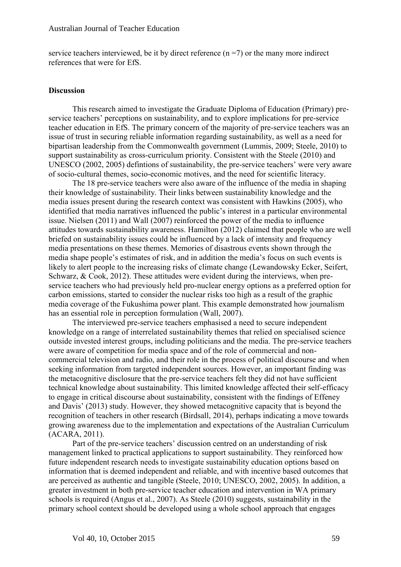service teachers interviewed, be it by direct reference  $(n = 7)$  or the many more indirect references that were for EfS.

#### **Discussion**

This research aimed to investigate the Graduate Diploma of Education (Primary) preservice teachers' perceptions on sustainability, and to explore implications for pre-service teacher education in EfS. The primary concern of the majority of pre-service teachers was an issue of trust in securing reliable information regarding sustainability, as well as a need for bipartisan leadership from the Commonwealth government (Lummis, 2009; Steele, 2010) to support sustainability as cross-curriculum priority. Consistent with the Steele (2010) and UNESCO (2002, 2005) defintions of sustainability, the pre-service teachers' were very aware of socio-cultural themes, socio-economic motives, and the need for scientific literacy.

The 18 pre-service teachers were also aware of the influence of the media in shaping their knowledge of sustainability. Their links between sustainability knowledge and the media issues present during the research context was consistent with Hawkins (2005), who identified that media narratives influenced the public's interest in a particular environmental issue. Nielsen (2011) and Wall (2007) reinforced the power of the media to influence attitudes towards sustainability awareness. Hamilton (2012) claimed that people who are well briefed on sustainability issues could be influenced by a lack of intensity and frequency media presentations on these themes. Memories of disastrous events shown through the media shape people's estimates of risk, and in addition the media's focus on such events is likely to alert people to the increasing risks of climate change (Lewandowsky Ecker, Seifert, Schwarz, & Cook, 2012). These attitudes were evident during the interviews, when preservice teachers who had previously held pro-nuclear energy options as a preferred option for carbon emissions, started to consider the nuclear risks too high as a result of the graphic media coverage of the Fukushima power plant. This example demonstrated how journalism has an essential role in perception formulation (Wall, 2007).

The interviewed pre-service teachers emphasised a need to secure independent knowledge on a range of interrelated sustainability themes that relied on specialised science outside invested interest groups, including politicians and the media. The pre-service teachers were aware of competition for media space and of the role of commercial and noncommercial television and radio, and their role in the process of political discourse and when seeking information from targeted independent sources. However, an important finding was the metacognitive disclosure that the pre-service teachers felt they did not have sufficient technical knowledge about sustainability. This limited knowledge affected their self-efficacy to engage in critical discourse about sustainability, consistent with the findings of Effeney and Davis' (2013) study. However, they showed metacognitive capacity that is beyond the recognition of teachers in other research (Birdsall, 2014), perhaps indicating a move towards growing awareness due to the implementation and expectations of the Australian Curriculum (ACARA, 2011).

Part of the pre-service teachers' discussion centred on an understanding of risk management linked to practical applications to support sustainability. They reinforced how future independent research needs to investigate sustainability education options based on information that is deemed independent and reliable, and with incentive based outcomes that are perceived as authentic and tangible (Steele, 2010; UNESCO, 2002, 2005). In addition, a greater investment in both pre-service teacher education and intervention in WA primary schools is required (Angus et al., 2007). As Steele (2010) suggests, sustainability in the primary school context should be developed using a whole school approach that engages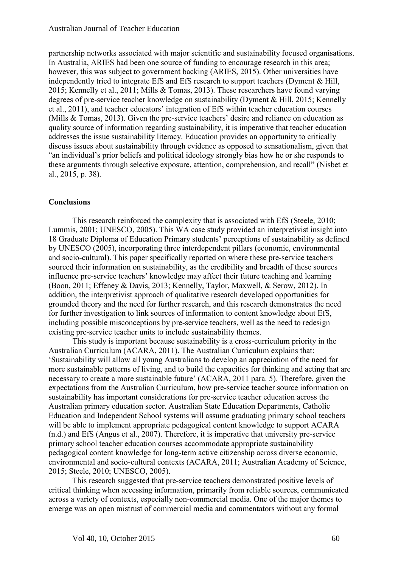partnership networks associated with major scientific and sustainability focused organisations. In Australia, ARIES had been one source of funding to encourage research in this area; however, this was subject to government backing (ARIES, 2015). Other universities have independently tried to integrate EfS and EfS research to support teachers (Dyment & Hill, 2015; Kennelly et al., 2011; Mills & Tomas, 2013). These researchers have found varying degrees of pre-service teacher knowledge on sustainability (Dyment & Hill, 2015; Kennelly et al., 2011), and teacher educators' integration of EfS within teacher education courses (Mills & Tomas, 2013). Given the pre-service teachers' desire and reliance on education as quality source of information regarding sustainability, it is imperative that teacher education addresses the issue sustainability literacy. Education provides an opportunity to critically discuss issues about sustainability through evidence as opposed to sensationalism, given that "an individual's prior beliefs and political ideology strongly bias how he or she responds to these arguments through selective exposure, attention, comprehension, and recall" (Nisbet et al., 2015, p. 38).

# **Conclusions**

This research reinforced the complexity that is associated with EfS (Steele, 2010; Lummis, 2001; UNESCO, 2005). This WA case study provided an interpretivist insight into 18 Graduate Diploma of Education Primary students' perceptions of sustainability as defined by UNESCO (2005), incorporating three interdependent pillars (economic, environmental and socio-cultural). This paper specifically reported on where these pre-service teachers sourced their information on sustainability, as the credibility and breadth of these sources influence pre-service teachers' knowledge may affect their future teaching and learning (Boon, 2011; Effeney & Davis, 2013; Kennelly, Taylor, Maxwell, & Serow, 2012). In addition, the interpretivist approach of qualitative research developed opportunities for grounded theory and the need for further research, and this research demonstrates the need for further investigation to link sources of information to content knowledge about EfS, including possible misconceptions by pre-service teachers, well as the need to redesign existing pre-service teacher units to include sustainability themes.

This study is important because sustainability is a cross-curriculum priority in the Australian Curriculum (ACARA, 2011). The Australian Curriculum explains that: 'Sustainability will allow all young Australians to develop an appreciation of the need for more sustainable patterns of living, and to build the capacities for thinking and acting that are necessary to create a more sustainable future' (ACARA, 2011 para. 5). Therefore, given the expectations from the Australian Curriculum, how pre-service teacher source information on sustainability has important considerations for pre-service teacher education across the Australian primary education sector. Australian State Education Departments, Catholic Education and Independent School systems will assume graduating primary school teachers will be able to implement appropriate pedagogical content knowledge to support ACARA (n.d.) and EfS (Angus et al., 2007). Therefore, it is imperative that university pre-service primary school teacher education courses accommodate appropriate sustainability pedagogical content knowledge for long-term active citizenship across diverse economic, environmental and socio-cultural contexts (ACARA, 2011; Australian Academy of Science, 2015; Steele, 2010; UNESCO, 2005).

This research suggested that pre-service teachers demonstrated positive levels of critical thinking when accessing information, primarily from reliable sources, communicated across a variety of contexts, especially non-commercial media. One of the major themes to emerge was an open mistrust of commercial media and commentators without any formal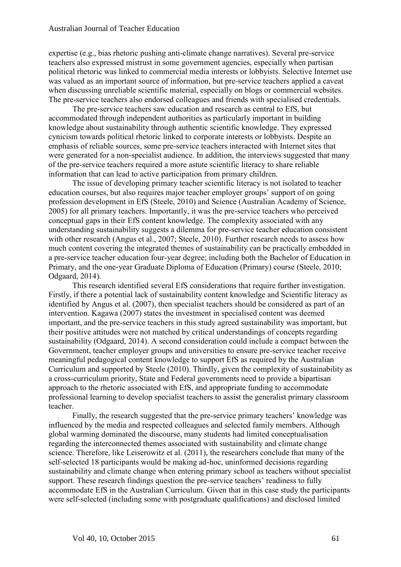expertise (e.g., bias rhetoric pushing anti-climate change narratives). Several pre-service teachers also expressed mistrust in some government agencies, especially when partisan political rhetoric was linked to commercial media interests or lobbyists. Selective Internet use was valued as an important source of information, but pre-service teachers applied a caveat when discussing unreliable scientific material, especially on blogs or commercial websites. The pre-service teachers also endorsed colleagues and friends with specialised credentials.

The pre-service teachers saw education and research as central to EfS, but accommodated through independent authorities as particularly important in building knowledge about sustainability through authentic scientific knowledge. They expressed cynicism towards political rhetoric linked to corporate interests or lobbyists. Despite an emphasis of reliable sources, some pre-service teachers interacted with Internet sites that were generated for a non-specialist audience. In addition, the interviews suggested that many of the pre-service teachers required a more astute scientific literacy to share reliable information that can lead to active participation from primary children.

The issue of developing primary teacher scientific literacy is not isolated to teacher education courses, but also requires major teacher employer groups' support of on going profession development in EfS (Steele, 2010) and Science (Australian Academy of Science, 2005) for all primary teachers. Importantly, it was the pre-service teachers who perceived conceptual gaps in their EfS content knowledge. The complexity associated with any understanding sustainability suggests a dilemma for pre-service teacher education consistent with other research (Angus et al., 2007; Steele, 2010). Further research needs to assess how much content covering the integrated themes of sustainability can be practically embedded in a pre-service teacher education four-year degree; including both the Bachelor of Education in Primary, and the one-year Graduate Diploma of Education (Primary) course (Steele, 2010; Odgaard, 2014).

This research identified several EfS considerations that require further investigation. Firstly, if there a potential lack of sustainability content knowledge and Scientific literacy as identified by Angus et al. (2007), then specialist teachers should be considered as part of an intervention. Kagawa (2007) states the investment in specialised content was deemed important, and the pre-service teachers in this study agreed sustainability was important, but their positive attitudes were not matched by critical understandings of concepts regarding sustainability (Odgaard, 2014). A second consideration could include a compact between the Government, teacher employer groups and universities to ensure pre-service teacher receive meaningful pedagogical content knowledge to support EfS as required by the Australian Curriculum and supported by Steele (2010). Thirdly, given the complexity of sustainability as a cross-curriculum priority, State and Federal governments need to provide a bipartisan approach to the rhetoric associated with EfS, and appropriate funding to accommodate professional learning to develop specialist teachers to assist the generalist primary classroom teacher.

Finally, the research suggested that the pre-service primary teachers' knowledge was influenced by the media and respected colleagues and selected family members. Although global warming dominated the discourse, many students had limited conceptualisation regarding the interconnected themes associated with sustainability and climate change science. Therefore, like Leiserowitz et al. (2011), the researchers conclude that many of the self-selected 18 participants would be making ad-hoc, uninformed decisions regarding sustainability and climate change when entering primary school as teachers without specialist support. These research findings question the pre-service teachers' readiness to fully accommodate EfS in the Australian Curriculum. Given that in this case study the participants were self-selected (including some with postgraduate qualifications) and disclosed limited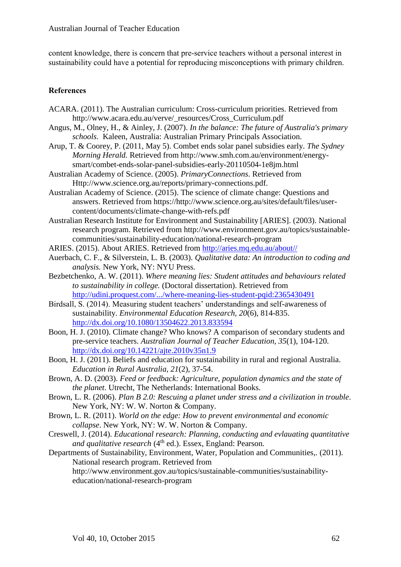content knowledge, there is concern that pre-service teachers without a personal interest in sustainability could have a potential for reproducing misconceptions with primary children.

# **References**

- ACARA. (2011). The Australian curriculum: Cross-curriculum priorities. Retrieved from http://www.acara.edu.au/verve/\_resources/Cross\_Curriculum.pdf
- Angus, M., Olney, H., & Ainley, J. (2007). *In the balance: The future of Australia's primary schools*. Kaleen, Australia: Australian Primary Principals Association.
- Arup, T. & Coorey, P. (2011, May 5). Combet ends solar panel subsidies early. *The Sydney Morning Herald.* Retrieved from http://www.smh.com.au/environment/energysmart/combet-ends-solar-panel-subsidies-early-20110504-1e8jm.html
- Australian Academy of Science. (2005). *PrimaryConnections*. Retrieved from Http://www.science.org.au/reports/primary-connections.pdf.
- Australian Academy of Science. (2015). The science of climate change: Questions and answers. Retrieved from https://http://www.science.org.au/sites/default/files/usercontent/documents/climate-change-with-refs.pdf
- Australian Research Institute for Environment and Sustainability [ARIES]. (2003). National research program. Retrieved from http://www.environment.gov.au/topics/sustainablecommunities/sustainability-education/national-research-program
- ARIES. (2015). About ARIES. Retrieved from [http://aries.mq.edu.au/about//](http://aries.mq.edu.au/about/)
- Auerbach, C. F., & Silverstein, L. B. (2003). *Qualitative data: An introduction to coding and analysis.* New York, NY: NYU Press.
- Bezbetchenko, A. W. (2011). *Where meaning lies: Student attitudes and behaviours related to sustainability in college.* (Doctoral dissertation). Retrieved from <http://udini.proquest.com/.../where-meaning-lies-student-pqid:2365430491>
- Birdsall, S. (2014). Measuring student teachers' understandings and self-awareness of sustainability. *Environmental Education Research, 20*(6), 814-835. <http://dx.doi.org/10.1080/13504622.2013.833594>
- Boon, H. J. (2010). Climate change? Who knows? A comparison of secondary students and pre-service teachers. *Australian Journal of Teacher Education, 35*(1), 104-120. <http://dx.doi.org/10.14221/ajte.2010v35n1.9>
- Boon, H. J. (2011). Beliefs and education for sustainability in rural and regional Australia. *Education in Rural Australia, 21*(2), 37-54.
- Brown, A. D. (2003). *Feed or feedback: Agriculture, population dynamics and the state of the planet*. Utrecht, The Netherlands: International Books.
- Brown, L. R. (2006). *Plan B 2.0: Rescuing a planet under stress and a civilization in trouble*. New York, NY: W. W. Norton & Company.
- Brown, L. R. (2011). *World on the edge: How to prevent environmental and economic collapse*. New York, NY: W. W. Norton & Company.
- Creswell, J. (2014). *Educational research: Planning, conducting and evlauating quantitative and qualitative research* (4<sup>th</sup> ed.). Essex, England: Pearson.
- Departments of Sustainability, Environment, Water, Population and Communities,. (2011). National research program. Retrieved from http://www.environment.gov.au/topics/sustainable-communities/sustainabilityeducation/national-research-program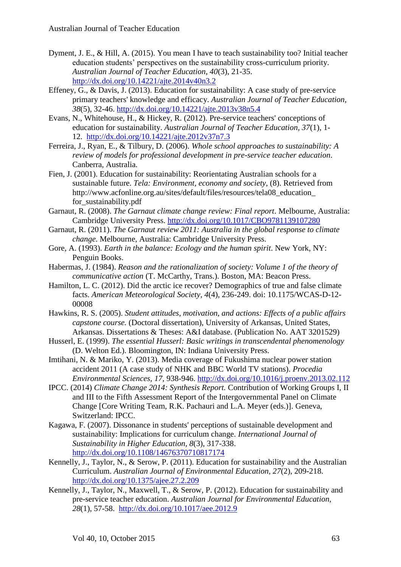- Dyment, J. E., & Hill, A. (2015). You mean I have to teach sustainability too? Initial teacher education students' perspectives on the sustainability cross-curriculum priority. *Australian Journal of Teacher Education, 40*(3), 21-35. <http://dx.doi.org/10.14221/ajte.2014v40n3.2>
- Effeney, G., & Davis, J. (2013). Education for sustainability: A case study of pre-service primary teachers' knowledge and efficacy. *Australian Journal of Teacher Education, 38*(5), 32-46.<http://dx.doi.org/10.14221/ajte.2013v38n5.4>
- Evans, N., Whitehouse, H., & Hickey, R. (2012). Pre-service teachers' conceptions of education for sustainability. *Australian Journal of Teacher Education, 37*(1), 1- 12. <http://dx.doi.org/10.14221/ajte.2012v37n7.3>
- Ferreira, J., Ryan, E., & Tilbury, D. (2006). *Whole school approaches to sustainability: A review of models for professional development in pre-service teacher education*. Canberra, Australia.
- Fien, J. (2001). Education for sustainability: Reorientating Australian schools for a sustainable future. *Tela: Environment, economy and society,* (8). Retrieved from http://www.acfonline.org.au/sites/default/files/resources/tela08\_education\_ for sustainability.pdf
- Garnaut, R. (2008). *The Garnaut climate change review: Final report*. Melbourne, Australia: Cambridge University Press. <http://dx.doi.org/10.1017/CBO9781139107280>
- Garnaut, R. (2011). *The Garnaut review 2011: Australia in the global response to climate change*. Melbourne, Australia: Cambridge University Press.
- Gore, A. (1993). *Earth in the balance: Ecology and the human spirit*. New York, NY: Penguin Books.
- Habermas, J. (1984). *Reason and the rationalization of society: Volume 1 of the theory of communicative action* (T. McCarthy, Trans.). Boston, MA: Beacon Press.
- Hamilton, L. C. (2012). Did the arctic ice recover? Demographics of true and false climate facts. *American Meteorological Society, 4*(4), 236-249. doi: 10.1175/WCAS-D-12- 00008
- Hawkins, R. S. (2005). *Student attitudes, motivation, and actions: Effects of a public affairs capstone course.* (Doctoral dissertation), University of Arkansas, United States, Arkansas. Dissertations & Theses: A&I database. (Publication No. AAT 3201529)
- Husserl, E. (1999). *The essential Husserl: Basic writings in transcendental phenomenology* (D. Welton Ed.). Bloomington, IN: Indiana University Press.
- Imtihani, N. & Mariko, Y. (2013). Media coverage of Fukushima nuclear power station accident 2011 (A case study of NHK and BBC World TV stations). *Procedia Environmental Sciences, 17,* 938-946. <http://dx.doi.org/10.1016/j.proenv.2013.02.112>
- IPCC. (2014) *Climate Change 2014: Synthesis Report.* Contribution of Working Groups I, II and III to the Fifth Assessment Report of the Intergovernmental Panel on Climate Change [Core Writing Team, R.K. Pachauri and L.A. Meyer (eds.)]. Geneva, Switzerland: IPCC.
- Kagawa, F. (2007). Dissonance in students' perceptions of sustainable development and sustainability: Implications for curriculum change. *International Journal of Sustainability in Higher Education, 8*(3), 317-338. <http://dx.doi.org/10.1108/14676370710817174>
- Kennelly, J., Taylor, N., & Serow, P. (2011). Education for sustainability and the Australian Curriculum. *Australian Journal of Environmental Education, 27*(2), 209-218. <http://dx.doi.org/10.1375/ajee.27.2.209>
- Kennelly, J., Taylor, N., Maxwell, T., & Serow, P. (2012). Education for sustainability and pre-service teacher education. *Australian Journal for Environmental Education, 28*(1), 57-58. <http://dx.doi.org/10.1017/aee.2012.9>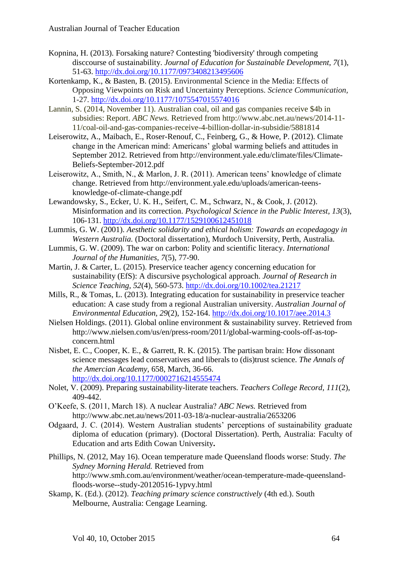- Kopnina, H. (2013). Forsaking nature? Contesting 'biodiversity' through competing disccourse of sustainability. *Journal of Education for Sustainable Development, 7*(1), 51-63.<http://dx.doi.org/10.1177/0973408213495606>
- Kortenkamp, K., & Basten, B. (2015). Environmental Science in the Media: Effects of Opposing Viewpoints on Risk and Uncertainty Perceptions. *Science Communication,*  1-27. <http://dx.doi.org/10.1177/1075547015574016>
- Lannin, S. (2014, November 11). Australian coal, oil and gas companies receive \$4b in subsidies: Report. *ABC News.* Retrieved from http://www.abc.net.au/news/2014-11- 11/coal-oil-and-gas-companies-receive-4-billion-dollar-in-subsidie/5881814
- Leiserowitz, A., Maibach, E., Roser-Renouf, C., Feinberg, G., & Howe, P. (2012). Climate change in the American mind: Americans' global warming beliefs and attitudes in September 2012. Retrieved from http://environment.yale.edu/climate/files/Climate-Beliefs-September-2012.pdf
- Leiserowitz, A., Smith, N., & Marlon, J. R. (2011). American teens' knowledge of climate change. Retrieved from http://environment.yale.edu/uploads/american-teensknowledge-of-climate-change.pdf
- Lewandowsky, S., Ecker, U. K. H., Seifert, C. M., Schwarz, N., & Cook, J. (2012). Misinformation and its correction. *Psychological Science in the Public Interest, 13*(3), 106-131. <http://dx.doi.org/10.1177/1529100612451018>
- Lummis, G. W. (2001). *Aesthetic solidarity and ethical holism: Towards an ecopedagogy in Western Australia.* (Doctoral dissertation), Murdoch University, Perth, Australia.
- Lummis, G. W. (2009). The war on carbon: Polity and scientific literacy. *International Journal of the Humanities, 7*(5), 77-90.
- Martin, J. & Carter, L. (2015). Preservice teacher agency concerning education for sustainability (EfS): A discursive psychological approach. *Journal of Research in Science Teaching, 52*(4), 560-573. <http://dx.doi.org/10.1002/tea.21217>
- Mills, R., & Tomas, L. (2013). Integrating education for sustainability in preservice teacher education: A case study from a regional Australian university. *Australian Journal of Environmental Education, 29*(2), 152-164. <http://dx.doi.org/10.1017/aee.2014.3>
- Nielsen Holdings. (2011). Global online environment & sustainability survey. Retrieved from http://www.nielsen.com/us/en/press-room/2011/global-warming-cools-off-as-topconcern.html
- Nisbet, E. C., Cooper, K. E., & Garrett, R. K. (2015). The partisan brain: How dissonant science messages lead conservatives and liberals to (dis)trust science. *The Annals of the Amercian Academy,* 658, March, 36-66. <http://dx.doi.org/10.1177/0002716214555474>
- Nolet, V. (2009). Preparing sustainability-literate teachers. *Teachers College Record, 111*(2), 409-442.
- O'Keefe, S. (2011, March 18). A nuclear Australia? *ABC News.* Retrieved from http://www.abc.net.au/news/2011-03-18/a-nuclear-australia/2653206
- Odgaard, J. C. (2014). Western Australian students' perceptions of sustainability graduate diploma of education (primary). (Doctoral Dissertation). Perth, Australia: Faculty of Education and arts Edith Cowan University**.**
- Phillips, N. (2012, May 16). Ocean temperature made Queensland floods worse: Study. *The Sydney Morning Herald.* Retrieved from http://www.smh.com.au/environment/weather/ocean-temperature-made-queenslandfloods-worse--study-20120516-1ypvy.html
- Skamp, K. (Ed.). (2012). *Teaching primary science constructively* (4th ed.). South Melbourne, Australia: Cengage Learning.